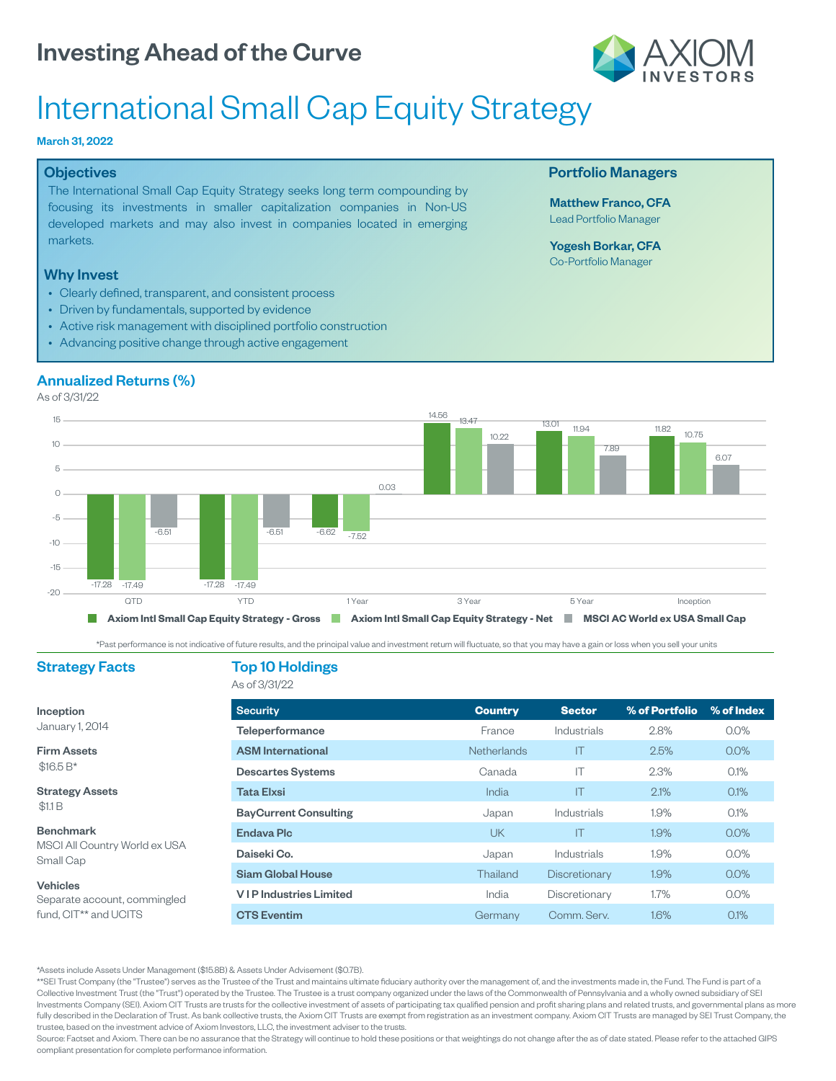

## International Small Cap Equity Strategy

#### March 31, 2022

#### **Objectives**

The International Small Cap Equity Strategy seeks long term compounding by focusing its investments in smaller capitalization companies in Non-US developed markets and may also invest in companies located in emerging markets.

#### Why Invest

- Clearly defined, transparent, and consistent process
- Driven by fundamentals, supported by evidence
- Active risk management with disciplined portfolio construction
- Advancing positive change through active engagement

#### Annualized Returns (%)

As of 3/31/22



Past performance is not indicative of future results, and the principal value and investment return will fluctuate, so that you may have a gain or loss when you sell your units

Strategy Assets

MSCI All Country World ex USA

Separate account, commingled fund, CIT<sup>\*\*</sup> and UCITS

Benchmark

Small Cap Vehicles

Inception January 1, 2014 Firm Assets  $$16.5 B*$ 

\$1.1 B

#### Strategy Facts Top 10 Holdings

As of 3/31/22

| <b>Security</b>               | <b>Country</b>     | <b>Sector</b> | % of Portfolio | % of Index |
|-------------------------------|--------------------|---------------|----------------|------------|
| Teleperformance               | France             | Industrials   | 2.8%           | $0.0\%$    |
| <b>ASM International</b>      | <b>Netherlands</b> | IT            | 2.5%           | $0.0\%$    |
| <b>Descartes Systems</b>      | Canada             | ΙT            | 2.3%           | 0.1%       |
| <b>Tata Elxsi</b>             | <b>India</b>       | IT            | 2.1%           | 0.1%       |
| <b>BayCurrent Consulting</b>  | Japan              | Industrials   | 1.9%           | 0.1%       |
| <b>Endava Plc</b>             | UK.                | IΤ            | 1.9%           | 0.0%       |
| Daiseki Co.                   | Japan              | Industrials   | 1.9%           | $0.0\%$    |
| <b>Siam Global House</b>      | Thailand           | Discretionary | 1.9%           | $0.0\%$    |
| <b>VIP</b> Industries Limited | India              | Discretionary | 1.7%           | $0.0\%$    |
| <b>CTS Eventim</b>            | Germany            | Comm. Serv.   | 16%            | 0.1%       |

Assets include Assets Under Management (15.8B) Assets Under Advisement (0.7B).

\*\*SEI Trust Company (the "Trustee") serves as the Trustee of the Trust and maintains ultimate fiduciary authority over the management of, and the investments made in, the Fund. The Fund is part of a Collective Investment Trust (the "Trust") operated by the Trustee. The Trustee is a trust company organized under the laws of the Commonwealth of Pennsylvania and a wholly owned subsidiary of SEI Investments Company (SEI). Axiom CIT Trusts are trusts for the collective investment of assets of participating tax qualified pension and profit sharing plans and related trusts, and governmental plans as more fully described in the Declaration of Trust. As bank collective trusts, the Axiom CIT Trusts are exempt from registration as an investment company. Axiom CIT Trusts are managed by SEI Trust Company, the trustee, based on the investment advice of Axiom Investors, LLC, the investment adviser to the trusts.

Source Factset and Axiom. There can be no assurance that the Strategy will continue to hold these positions or that weightings do not change after the as of date stated. Please refer to the attached GIPS compliant presentation for complete performance information.

#### Portfolio Managers

Matthew Franco, CFA Lead Portfolio Manager

#### Yogesh Borkar, CFA Co-Portfolio Manager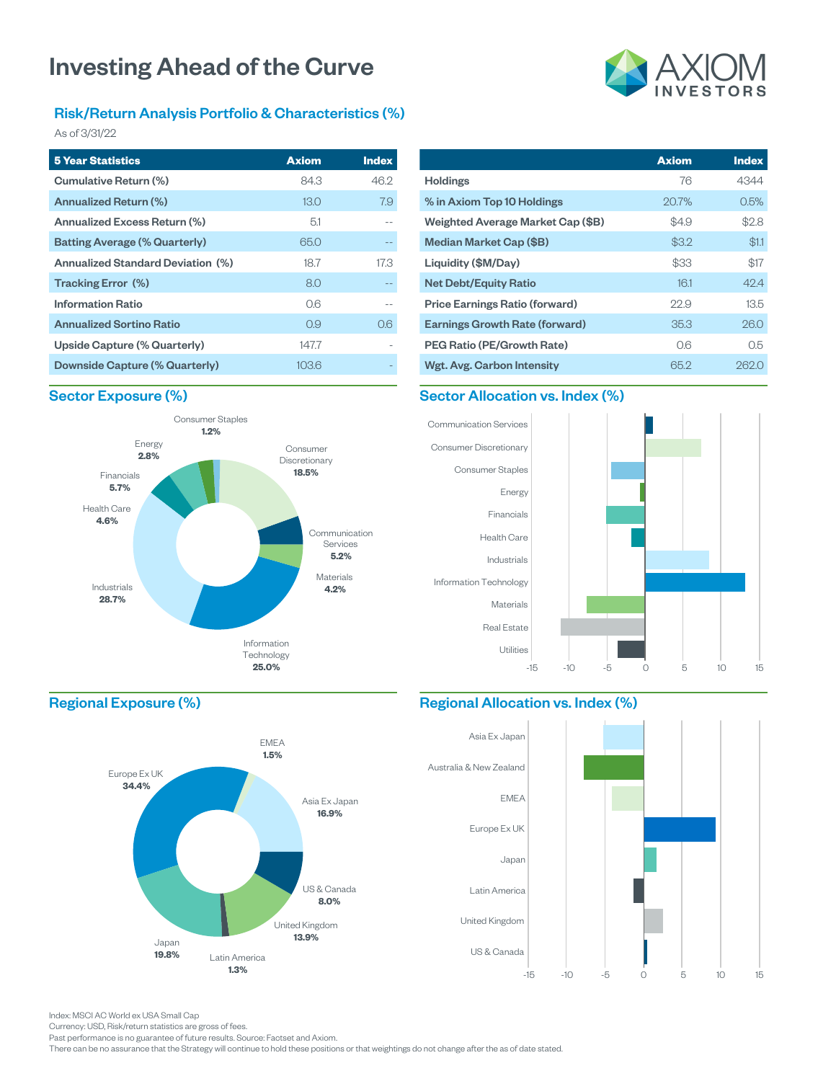### Risk/Return Analysis Portfolio & Characteristics (%)

As of 3/31/22

| <b>5 Year Statistics</b>                 | <b>Axiom</b> | <b>Index</b> |
|------------------------------------------|--------------|--------------|
| Cumulative Return (%)                    | 84.3         | 46.2         |
| Annualized Return (%)                    | 13.0         | 7.9          |
| Annualized Excess Return (%)             | 5.1          |              |
| <b>Batting Average (% Quarterly)</b>     | 65.0         |              |
| <b>Annualized Standard Deviation (%)</b> | 18.7         | 17.3         |
| Tracking Error (%)                       | 8.0          |              |
| <b>Information Ratio</b>                 | റഭ           |              |
| <b>Annualized Sortino Ratio</b>          | 0.9          | 0.6          |
| Upside Capture (% Quarterly)             | 1477         |              |
| Downside Capture (% Quarterly)           | 103.6        |              |

# **Axiom Index**

|                                       | <b>Axiom</b> | <b>Index</b> |
|---------------------------------------|--------------|--------------|
| <b>Holdings</b>                       | 76           | 4344         |
| % in Axiom Top 10 Holdings            | 20.7%        | 0.5%         |
| Weighted Average Market Cap (\$B)     | \$4.9        | \$2.8        |
| Median Market Cap (\$B)               | \$3.2        | \$1.1        |
| Liquidity (\$M/Day)                   | \$33         | \$17         |
| <b>Net Debt/Equity Ratio</b>          | 16.1         | 42.4         |
| <b>Price Earnings Ratio (forward)</b> | 22.9         | 13.5         |
| <b>Earnings Growth Rate (forward)</b> | 35.3         | 26.0         |
| PEG Ratio (PE/Growth Rate)            | 0.6          | 0.5          |
| Wgt. Avg. Carbon Intensity            | 65.2         | 262.0        |

#### Sector Exposure (%)







#### Regional Exposure (%)



#### Regional Allocation vs. Index (%)



Index: MSCI AC World ex USA Small Cap

Currency: USD, Risk/return statistics are gross of fees.

Past performance is no guarantee of future results. Source: Factset and Axiom.

There can be no assurance that the Strategy will continue to hold these positions or that weightings do not change after the as of date stated.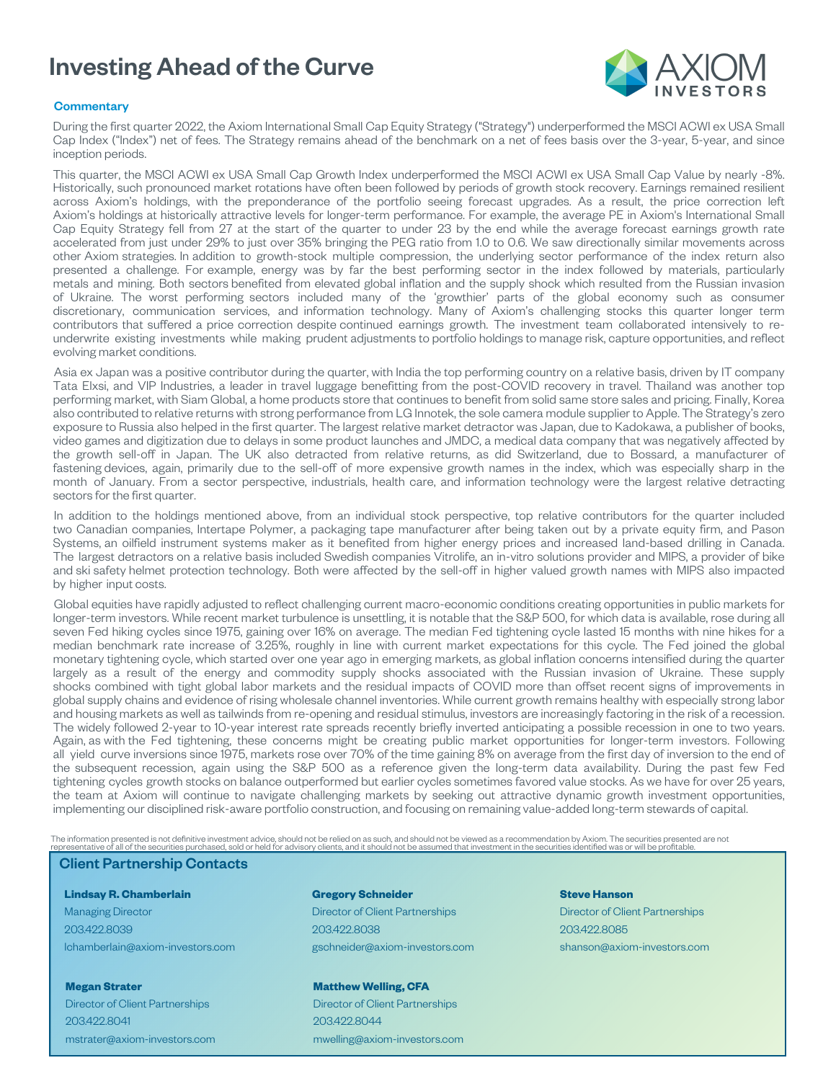

#### **Commentary**

During the first quarter 2022, the Axiom International Small Cap Equity Strategy ("Strategy") underperformed the MSCI ACWI ex USA Small Cap Index ("Index") net of fees. The Strategy remains ahead of the benchmark on a net of fees basis over the 3-year, 5-year, and since inception periods.

This quarter, the MSCI ACWI ex USA Small Cap Growth Index underperformed the MSCI ACWI ex USA Small Cap Value by nearly -8%. Historically, such pronounced market rotations have often been followed by periods of growth stock recovery. Earnings remained resilient across Axiom's holdings, with the preponderance of the portfolio seeing forecast upgrades. As a result, the price correction left Axiom's holdings at historically attractive levels for longer-term performance. For example, the average PE in Axiom's International Small Cap Equity Strategy fell from 27 at the start of the quarter to under 23 by the end while the average forecast earnings growth rate accelerated from just under 29% to just over 35% bringing the PEG ratio from 1.0 to 0.6. We saw directionally similar movements across other Axiom strategies. In addition to growth-stock multiple compression, the underlying sector performance of the index return also presented a challenge. For example, energy was by far the best performing sector in the index followed by materials, particularly metals and mining. Both sectors benefited from elevated global inflation and the supply shock which resulted from the Russian invasion of Ukraine. The worst performing sectors included many of the 'growthier' parts of the global economy such as consumer discretionary, communication services, and information technology. Many of Axiom's challenging stocks this quarter longer term contributors that suffered a price correction despite continued earnings growth. The investment team collaborated intensively to reunderwrite existing investments while making prudent adjustments to portfolio holdings to manage risk, capture opportunities, and reflect evolving market conditions.

Asia ex Japan was a positive contributor during the quarter, with India the top performing country on a relative basis, driven by IT company Tata Elxsi, and VIP Industries, a leader in travel luggage benefitting from the post-COVID recovery in travel. Thailand was another top performing market, with Siam Global, a home products store that continues to benefit from solid same store sales and pricing. Finally, Korea also contributed to relative returns with strong performance from LG Innotek, the sole camera module supplier to Apple. The Strategy's zero exposure to Russia also helped in the first quarter. The largest relative market detractor was Japan, due to Kadokawa, a publisher of books, video games and digitization due to delays in some product launches and JMDC, a medical data company that was negatively affected by the growth sell-off in Japan. The UK also detracted from relative returns, as did Switzerland, due to Bossard, a manufacturer of fastening devices, again, primarily due to the sell-off of more expensive growth names in the index, which was especially sharp in the month of January. From a sector perspective, industrials, health care, and information technology were the largest relative detracting sectors for the first quarter.

In addition to the holdings mentioned above, from an individual stock perspective, top relative contributors for the quarter included two Canadian companies, Intertape Polymer, a packaging tape manufacturer after being taken out by a private equity firm, and Pason Systems, an oilfield instrument systems maker as it benefited from higher energy prices and increased land-based drilling in Canada. The largest detractors on a relative basis included Swedish companies Vitrolife, an in-vitro solutions provider and MIPS, a provider of bike and ski safety helmet protection technology. Both were affected by the sell-off in higher valued growth names with MIPS also impacted by higher input costs.

Global equities have rapidly adjusted to reflect challenging current macro-economic conditions creating opportunities in public markets for longer-term investors. While recent market turbulence is unsettling, it is notable that the S&P 500, for which data is available, rose during all seven Fed hiking cycles since 1975, gaining over 16% on average. The median Fed tightening cycle lasted 15 months with nine hikes for a median benchmark rate increase of 3.25%, roughly in line with current market expectations for this cycle. The Fed joined the global monetary tightening cycle, which started over one year ago in emerging markets, as global inflation concerns intensified during the quarter largely as a result of the energy and commodity supply shocks associated with the Russian invasion of Ukraine. These supply shocks combined with tight global labor markets and the residual impacts of COVID more than offset recent signs of improvements in global supply chains and evidence of rising wholesale channel inventories. While current growth remains healthy with especially strong labor and housing markets as well as tailwinds from re-opening and residual stimulus, investors are increasingly factoring in the risk of a recession. The widely followed 2-year to 10-year interest rate spreads recently briefly inverted anticipating a possible recession in one to two years. Again, as with the Fed tightening, these concerns might be creating public market opportunities for longer-term investors. Following all yield curve inversions since 1975, markets rose over 70% of the time gaining 8% on average from the first day of inversion to the end of the subsequent recession, again using the S&P 500 as a reference given the long-term data availability. During the past few Fed tightening cycles growth stocks on balance outperformed but earlier cycles sometimes favored value stocks. As we have for over 25 years, the team at Axiom will continue to navigate challenging markets by seeking out attractive dynamic growth investment opportunities, implementing our disciplined risk-aware portfolio construction, and focusing on remaining value-added long-term stewards of capital.

The information presented is not definitive investment advice, should not be relied on as such, and should not be viewed as a recommendation by Axiom. The securities presented are not<br>representative of all of the securitie

#### Client Partnership Contacts

#### **Lindsay R. Chamberlain**

Managing Director 203.422.8039 lchamberlain@axiom-investors.com

**Megan Strater** Director of Client Partnerships 203.422.8041 mstrater@axiom-investors.com

#### **Gregory Schneider** Director of Client Partnerships 203.422.8038

gschneider@axiom-investors.com

#### **Matthew Welling, CFA**

Director of Client Partnerships 203.422.8044 mwelling@axiom-investors.com

#### **Steve Hanson** Director of Client Partnerships 203.422.8085 shanson@axiom-investors.com